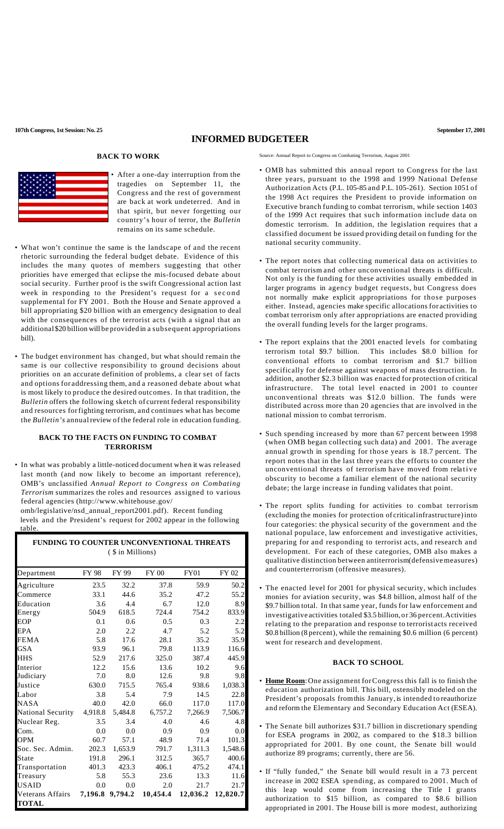## **INFORMED BUDGETEER**

## **BACK TO WORK**



• After a one-day interruption from the tragedies on September 11, the Congress and the rest of government are back at work undeterred. And in that spirit, but never forgetting our country's hour of terror, the *Bulletin* remains on its same schedule.

- What won't continue the same is the landscape of and the recent rhetoric surrounding the federal budget debate. Evidence of this includes the many quotes of members suggesting that other priorities have emerged that eclipse the mis-focused debate about social security. Further proof is the swift Congressional action last week in responding to the President's request for a second supplemental for FY 2001. Both the House and Senate approved a bill appropriating \$20 billion with an emergency designation to deal with the consequences of the terrorist acts (with a signal that an additional \$20 billion will be provided in a subsequent appropriations bill).
- The budget environment has changed, but what should remain the same is our collective responsibility to ground decisions about priorities on an accurate definition of problems, a clear set of facts and options for addressing them, and a reasoned debate about what is most likely to produce the desired outcomes. In that tradition, the *Bulletin* offers the following sketch of current federal responsibility and resources forfighting terrorism, and continues what has become the *Bulletin's* annualreview of the federal role in education funding.

## **BACK TO THE FACTS ON FUNDING TO COMBAT TERRORISM**

• In what was probably a little-noticed document when it was released last month (and now likely to become an important reference), OMB's unclassified *Annual Report to Congress on Combating Terrorism* summarizes the roles and resources assigned to various federal agencies (http://www.whitehouse.gov/

 omb/legislative/nsd\_annual\_report2001.pdf). Recent funding levels and the President's request for 2002 appear in the following table.

| <b>FUNDING TO COUNTER UNCONVENTIONAL THREATS</b> |  |  |  |  |  |  |
|--------------------------------------------------|--|--|--|--|--|--|
| ( \$ in Millions)                                |  |  |  |  |  |  |

| Department        | <b>FY 98</b> | FY 99           | <b>FY 00</b> | <b>FY01</b> | FY 02    |
|-------------------|--------------|-----------------|--------------|-------------|----------|
| Agriculture       | 23.5         | 32.2            | 37.8         | 59.9        | 50.2     |
| Commerce          | 33.1         | 44.6            | 35.2         | 47.2        | 55.2     |
| Education         | 3.6          | 4.4             | 6.7          | 12.0        | 8.9      |
| Energy            | 504.9        | 618.5           | 724.4        | 754.2       | 833.9    |
| EOP               | 0.1          | 0.6             | 0.5          | 0.3         | 2.2      |
| EPA               | 2.0          | 2.2             | 4.7          | 5.2         | 5.2      |
| <b>FEMA</b>       | 5.8          | 17.6            | 28.1         | 35.2        | 35.9     |
| <b>GSA</b>        | 93.9         | 96.1            | 79.8         | 113.9       | 116.6    |
| HHS               | 52.9         | 217.6           | 325.0        | 387.4       | 445.9    |
| Interior          | 12.2         | 15.6            | 13.6         | 10.2        | 9.6      |
| Judiciary         | 7.0          | 8.0             | 12.6         | 9.8         | 9.8      |
| Justice           | 630.0        | 715.5           | 765.4        | 938.6       | 1,038.3  |
| Labor             | 3.8          | 5.4             | 7.9          | 14.5        | 22.8     |
| <b>NASA</b>       | 40.0         | 42.0            | 66.0         | 117.0       | 117.0    |
| National Security | 4,918.8      | 5,484.8         | 6,757.2      | 7,266.9     | 7,506.7  |
| Nuclear Reg.      | 3.5          | 3.4             | 4.0          | 4.6         | 4.8      |
| Com.              | 0.0          | 0.0             | 0.9          | 0.9         | 0.0      |
| <b>OPM</b>        | 60.7         | 57.1            | 48.9         | 71.4        | 101.3    |
| Soc. Sec. Admin.  | 202.3        | 1,653.9         | 791.7        | 1,311.3     | 1,548.6  |
| State             | 191.8        | 296.1           | 312.5        | 365.7       | 400.6    |
| Transportation    | 401.3        | 423.3           | 406.1        | 475.2       | 474.1    |
| Treasury          | 5.8          | 55.3            | 23.6         | 13.3        | 11.6     |
| <b>USAID</b>      | 0.0          | 0.0             | 2.0          | 21.7        | 21.7     |
| Veterans Affairs  |              | 7,196.8 9,794.2 | 10,454.4     | 12,036.2    | 12,820.7 |
| <b>TOTAL</b>      |              |                 |              |             |          |

Source: Annual Report to Congress on Combating Terrorism, August 2001

- OMB has submitted this annual report to Congress for the last three years, pursuant to the 1998 and 1999 National Defense Authorization Acts (P.L. 105-85 and P.L. 105-261). Section 1051 of the 1998 Act requires the President to provide information on Executive branch funding to combat terrorism, while section 1403 of the 1999 Act requires that such information include data on domestic terrorism. In addition, the legislation requires that a classified document be issued providing detail on funding for the national security community.
- The report notes that collecting numerical data on activities to combat terrorism and other unconventional threats is difficult. Not only is the funding for these activities usually embedded in larger programs in agency budget requests, but Congress does not normally make explicit appropriations for those purposes either. Instead, agencies make specific allocations for activities to combat terrorism only after appropriations are enacted providing the overall funding levels for the larger programs.
- The report explains that the 2001 enacted levels for combating terrorism total \$9.7 billion. This includes \$8.0 billion for conventional efforts to combat terrorism and \$1.7 billion specifically for defense against weapons of mass destruction. In addition, another \$2.3 billion was enacted for protection of critical infrastructure. The total level enacted in 2001 to counter unconventional threats was \$12.0 billion. The funds were distributed across more than 20 agencies that are involved in the national mission to combat terrorism.
- Such spending increased by more than 67 percent between 1998 (when OMB began collecting such data) and 2001. The average annual growth in spending for those years is 18.7 percent. The report notes that in the last three years the efforts to counter the unconventional threats of terrorism have moved from relative obscurity to become a familiar element of the national security debate; the large increase in funding validates that point.
- The report splits funding for activities to combat terrorism (excluding the monies for protection of criticalinfrastructure)into four categories: the physical security of the government and the national populace, law enforcement and investigative activities, preparing for and responding to terrorist acts, and research and development. For each of these categories, OMB also makes a qualitative distinction between antiterrorism(defensivemeasures) and counterterrorism (offensive measures).
- The enacted level for 2001 for physical security, which includes monies for aviation security, was \$4.8 billion, almost half of the \$9.7 billion total. In that same year, funds for law enforcement and investigative activities totaled \$3.5 billion,or 36 percent.Activities relating to the preparation and response to terrorist acts received \$0.8 billion (8 percent), while the remaining \$0.6 million (6 percent) went for research and development.

## **BACK TO SCHOOL**

- **Home Room**:One assignment forCongress this fall is to finish the education authorization bill. This bill, ostensibly modeled on the President's proposals fromthis January, is intended to reauthorize and reform the Elementary and Secondary Education Act (ESEA).
- The Senate bill authorizes \$31.7 billion in discretionary spending for ESEA programs in 2002, as compared to the \$18.3 billion appropriated for 2001. By one count, the Senate bill would authorize 89 programs; currently, there are 56.
- If "fully funded," the Senate bill would result in a 73 percent increase in 2002 ESEA spending, as compared to 2001. Much of this leap would come from increasing the Title I grants authorization to \$15 billion, as compared to \$8.6 billion appropriated in 2001. The House bill is more modest, authorizing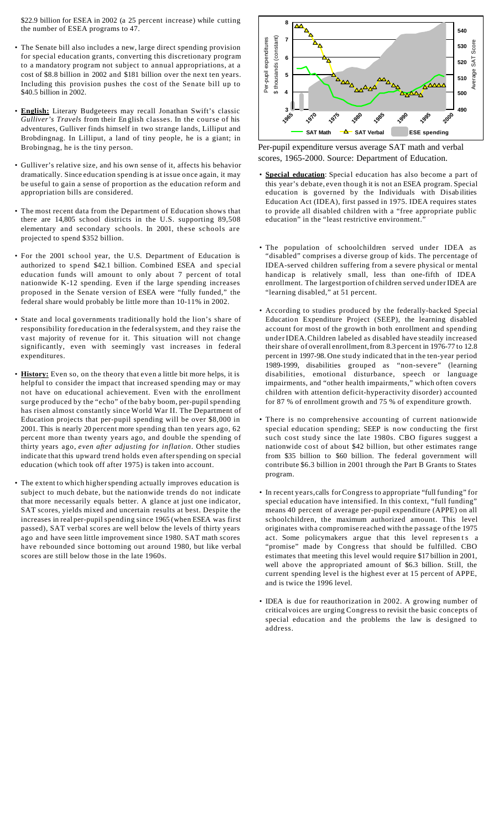\$22.9 billion for ESEA in 2002 (a 25 percent increase) while cutting the number of ESEA programs to 47.

- The Senate bill also includes a new, large direct spending provision for special education grants, converting this discretionary program to a mandatory program not subject to annual appropriations, at a cost of \$8.8 billion in 2002 and \$181 billion over the next ten years. Including this provision pushes the cost of the Senate bill up to \$40.5 billion in 2002.
- **English:** Literary Budgeteers may recall Jonathan Swift's classic *Gulliver's Travels* from their En glish classes. In the course of his adventures, Gulliver finds himself in two strange lands, Lilliput and Brobdingnag. In Lilliput, a land of tiny people, he is a giant; in Brobingnag, he is the tiny person.
- Gulliver's relative size, and his own sense of it, affects his behavior dramatically. Since education spending is at issue once again, it may be useful to gain a sense of proportion as the education reform and appropriation bills are considered.
- The most recent data from the Department of Education shows that there are 14,805 school districts in the U.S. supporting 89,508 elementary and secondary schools. In 2001, these schools are projected to spend \$352 billion.
- For the 2001 school year, the U.S. Department of Education is authorized to spend \$42.1 billion. Combined ESEA and special education funds will amount to only about 7 percent of total nationwide K-12 spending. Even if the large spending increases proposed in the Senate version of ESEA were "fully funded," the federal share would probably be little more than 10-11% in 2002.
- State and local governments traditionally hold the lion's share of responsibility for education in the federalsystem, and they raise the vast majority of revenue for it. This situation will not change significantly, even with seemingly vast increases in federal expenditures.
- **History:** Even so, on the theory that even a little bit more helps, it is helpful to consider the impact that increased spending may or may not have on educational achievement. Even with the enrollment surge produced by the "echo" of the baby boom, per-pupil spending has risen almost constantly since World War II. The Department of Education projects that per-pupil spending will be over \$8,000 in 2001. This is nearly 20 percent more spending than ten years ago, 62 perc ent more than twenty years ago, and double the spending of thirty years ago, *even after adjusting for inflation*. Other studies indicate that this upward trend holds even afterspending on special education (which took off after 1975) is taken into account.
- The extent to which higherspending actually improves education is subject to much debate, but the nationwide trends do not indicate that more necessarily equals better. A glance at just one indicator, SAT scores, yields mixed and uncertain results at best. Despite the increases in real per-pupil spending since 1965 (when ESEA was first passed), SAT verbal scores are well below the levels of thirty years ago and have seen little improvement since 1980. SAT math scores have rebounded since bottoming out around 1980, but like verbal scores are still below those in the late 1960s.



Per-pupil expenditure versus average SAT math and verbal scores, 1965-2000. Source: Department of Education.

- **Special education**: Special education has also become a part of this year's debate, even though it is not an ESEA program. Special education is governed by the Individuals with Disab ilities Education Act (IDEA), first passed in 1975. IDEA requires states to provide all disabled children with a "free appropriate public education" in the "least restrictive environment."
- The population of schoolchildren served under IDEA as "disabled" comprises a diverse group of kids. The percentage of IDEA-served children suffering from a severe physical or mental handicap is relatively small, less than one-fifth of IDEA enrollment. The largest portion of children served under IDEA are "learning disabled," at 51 percent.
- According to studies produced by the federally-backed Special Education Expenditure Project (SEEP), the learning disabled account for most of the growth in both enrollment and spending underIDEA.Children labeled as disabled have steadily increased their share of overall enrollment,from 8.3 percent in 1976-77 to 12.8 percent in 1997-98. One study indicated that in the ten-year period 1989-1999, disabilities grouped as "non-severe" (learning disabilities, emotional disturbance, speech or language impairments, and "other health impairments," which often covers children with attention deficit-hyperactivity disorder) accounted for 87 % of enrollment growth and 75 % of expenditure growth.
- There is no comprehensive accounting of current nationwide special education spending; SEEP is now conducting the first such cost study since the late 1980s. CBO figures suggest a nationwide cost of about \$42 billion, but other estimates range from \$35 billion to \$60 billion. The federal government will contribute \$6.3 billion in 2001 through the Part B Grants to States program.
- In recent years,calls forCongress to appropriate "full funding" for special education have intensified. In this context, "full funding" means 40 percent of average per-pupil expenditure (APPE) on all schoolchildren, the maximum authorized amount. This level originates witha compromise reached with the passage of the 1975 act. Some policymakers argue that this level represents a "promise" made by Congress that should be fulfilled. CBO estimates that meeting this level would require \$17 billion in 2001, well above the appropriated amount of \$6.3 billion. Still, the current spending level is the highest ever at 15 percent of APPE, and is twice the 1996 level.
- IDEA is due for reauthorization in 2002. A growing number of criticalvoices are urging Congress to revisit the basic concepts of special education and the problems the law is designed to address.